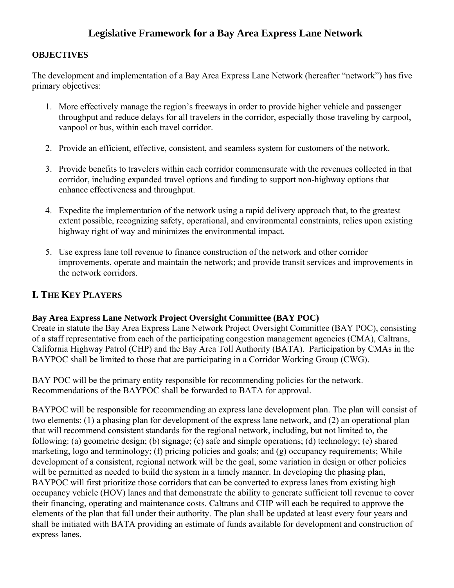# **Legislative Framework for a Bay Area Express Lane Network**

### **OBJECTIVES**

The development and implementation of a Bay Area Express Lane Network (hereafter "network") has five primary objectives:

- 1. More effectively manage the region's freeways in order to provide higher vehicle and passenger throughput and reduce delays for all travelers in the corridor, especially those traveling by carpool, vanpool or bus, within each travel corridor.
- 2. Provide an efficient, effective, consistent, and seamless system for customers of the network.
- 3. Provide benefits to travelers within each corridor commensurate with the revenues collected in that corridor, including expanded travel options and funding to support non-highway options that enhance effectiveness and throughput.
- 4. Expedite the implementation of the network using a rapid delivery approach that, to the greatest extent possible, recognizing safety, operational, and environmental constraints, relies upon existing highway right of way and minimizes the environmental impact.
- 5. Use express lane toll revenue to finance construction of the network and other corridor improvements, operate and maintain the network; and provide transit services and improvements in the network corridors.

## **I. THE KEY PLAYERS**

## **Bay Area Express Lane Network Project Oversight Committee (BAY POC)**

Create in statute the Bay Area Express Lane Network Project Oversight Committee (BAY POC), consisting of a staff representative from each of the participating congestion management agencies (CMA), Caltrans, California Highway Patrol (CHP) and the Bay Area Toll Authority (BATA). Participation by CMAs in the BAYPOC shall be limited to those that are participating in a Corridor Working Group (CWG).

BAY POC will be the primary entity responsible for recommending policies for the network. Recommendations of the BAYPOC shall be forwarded to BATA for approval.

BAYPOC will be responsible for recommending an express lane development plan. The plan will consist of two elements: (1) a phasing plan for development of the express lane network, and (2) an operational plan that will recommend consistent standards for the regional network, including, but not limited to, the following: (a) geometric design; (b) signage; (c) safe and simple operations; (d) technology; (e) shared marketing, logo and terminology; (f) pricing policies and goals; and (g) occupancy requirements; While development of a consistent, regional network will be the goal, some variation in design or other policies will be permitted as needed to build the system in a timely manner. In developing the phasing plan, BAYPOC will first prioritize those corridors that can be converted to express lanes from existing high occupancy vehicle (HOV) lanes and that demonstrate the ability to generate sufficient toll revenue to cover their financing, operating and maintenance costs. Caltrans and CHP will each be required to approve the elements of the plan that fall under their authority. The plan shall be updated at least every four years and shall be initiated with BATA providing an estimate of funds available for development and construction of express lanes.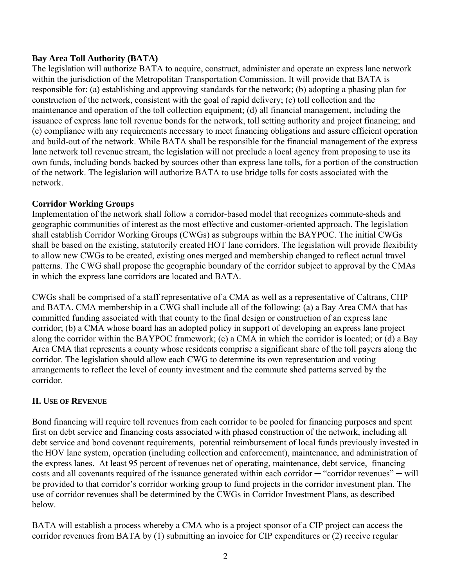#### **Bay Area Toll Authority (BATA)**

The legislation will authorize BATA to acquire, construct, administer and operate an express lane network within the jurisdiction of the Metropolitan Transportation Commission. It will provide that BATA is responsible for: (a) establishing and approving standards for the network; (b) adopting a phasing plan for construction of the network, consistent with the goal of rapid delivery; (c) toll collection and the maintenance and operation of the toll collection equipment; (d) all financial management, including the issuance of express lane toll revenue bonds for the network, toll setting authority and project financing; and (e) compliance with any requirements necessary to meet financing obligations and assure efficient operation and build-out of the network. While BATA shall be responsible for the financial management of the express lane network toll revenue stream, the legislation will not preclude a local agency from proposing to use its own funds, including bonds backed by sources other than express lane tolls, for a portion of the construction of the network. The legislation will authorize BATA to use bridge tolls for costs associated with the network.

## **Corridor Working Groups**

Implementation of the network shall follow a corridor-based model that recognizes commute-sheds and geographic communities of interest as the most effective and customer-oriented approach. The legislation shall establish Corridor Working Groups (CWGs) as subgroups within the BAYPOC. The initial CWGs shall be based on the existing, statutorily created HOT lane corridors. The legislation will provide flexibility to allow new CWGs to be created, existing ones merged and membership changed to reflect actual travel patterns. The CWG shall propose the geographic boundary of the corridor subject to approval by the CMAs in which the express lane corridors are located and BATA.

CWGs shall be comprised of a staff representative of a CMA as well as a representative of Caltrans, CHP and BATA. CMA membership in a CWG shall include all of the following: (a) a Bay Area CMA that has committed funding associated with that county to the final design or construction of an express lane corridor; (b) a CMA whose board has an adopted policy in support of developing an express lane project along the corridor within the BAYPOC framework; (c) a CMA in which the corridor is located; or (d) a Bay Area CMA that represents a county whose residents comprise a significant share of the toll payers along the corridor. The legislation should allow each CWG to determine its own representation and voting arrangements to reflect the level of county investment and the commute shed patterns served by the corridor.

## **II. USE OF REVENUE**

Bond financing will require toll revenues from each corridor to be pooled for financing purposes and spent first on debt service and financing costs associated with phased construction of the network, including all debt service and bond covenant requirements, potential reimbursement of local funds previously invested in the HOV lane system, operation (including collection and enforcement), maintenance, and administration of the express lanes. At least 95 percent of revenues net of operating, maintenance, debt service, financing costs and all covenants required of the issuance generated within each corridor  $-$  "corridor revenues"  $-$  will be provided to that corridor's corridor working group to fund projects in the corridor investment plan. The use of corridor revenues shall be determined by the CWGs in Corridor Investment Plans, as described below.

BATA will establish a process whereby a CMA who is a project sponsor of a CIP project can access the corridor revenues from BATA by (1) submitting an invoice for CIP expenditures or (2) receive regular